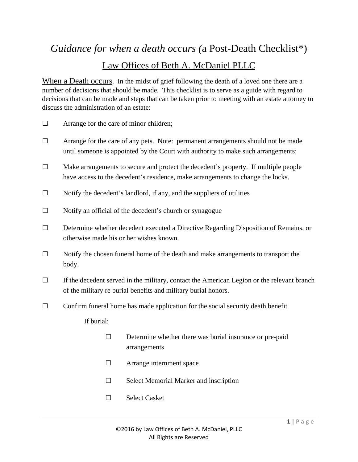# *Guidance for when a death occurs (*a Post-Death Checklist\*) Law Offices of Beth A. McDaniel PLLC

When a Death occurs. In the midst of grief following the death of a loved one there are a number of decisions that should be made. This checklist is to serve as a guide with regard to decisions that can be made and steps that can be taken prior to meeting with an estate attorney to discuss the administration of an estate:

- **□** Arrange for the care of minor children;
- **□** Arrange for the care of any pets. Note: permanent arrangements should not be made until someone is appointed by the Court with authority to make such arrangements;
- **□** Make arrangements to secure and protect the decedent's property. If multiple people have access to the decedent's residence, make arrangements to change the locks.
- **□** Notify the decedent's landlord, if any, and the suppliers of utilities
- **□** Notify an official of the decedent's church or synagogue
- **□** Determine whether decedent executed a Directive Regarding Disposition of Remains, or otherwise made his or her wishes known.
- **□** Notify the chosen funeral home of the death and make arrangements to transport the body.
- **□** If the decedent served in the military, contact the American Legion or the relevant branch of the military re burial benefits and military burial honors.
- **□** Confirm funeral home has made application for the social security death benefit

If burial:

- **□** Determine whether there was burial insurance or pre-paid arrangements
- **□** Arrange internment space
- **□** Select Memorial Marker and inscription
- **□** Select Casket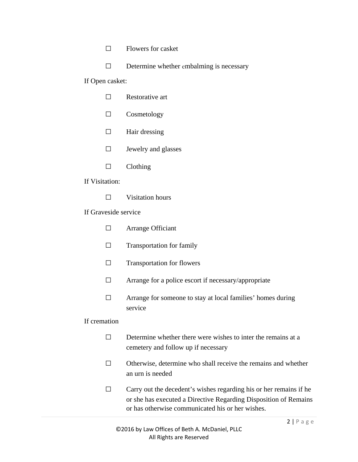- **□** Flowers for casket
- **□** Determine whether embalming is necessary

#### If Open casket:

- **□** Cosmetology
- **□** Hair dressing
- **□** Jewelry and glasses
- **□** Clothing

## If Visitation:

**□** Visitation hours

## If Graveside service

- **□** Arrange Officiant
- **□** Transportation for family
- **□** Transportation for flowers
- **□** Arrange for a police escort if necessary/appropriate
- **□** Arrange for someone to stay at local families' homes during service

## If cremation

- **□** Determine whether there were wishes to inter the remains at a cemetery and follow up if necessary
- **□** Otherwise, determine who shall receive the remains and whether an urn is needed
- **□** Carry out the decedent's wishes regarding his or her remains if he or she has executed a Directive Regarding Disposition of Remains or has otherwise communicated his or her wishes.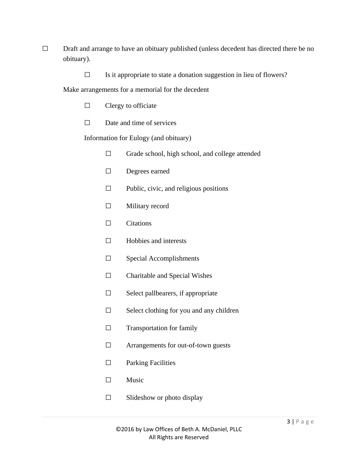- □ Draft and arrange to have an obituary published (unless decedent has directed there be no obituary).
	- **□** Is it appropriate to state a donation suggestion in lieu of flowers?

Make arrangements for a memorial for the decedent

- **□** Clergy to officiate
- **□** Date and time of services

Information for Eulogy (and obituary)

- **□** Grade school, high school, and college attended
- **□** Degrees earned
- **□** Public, civic, and religious positions
- **□** Military record
- **□** Citations
- **□** Hobbies and interests
- **□** Special Accomplishments
- **□** Charitable and Special Wishes
- **□** Select pallbearers, if appropriate
- **□** Select clothing for you and any children
- **□** Transportation for family
- **□** Arrangements for out-of-town guests
- **□** Parking Facilities
- **□** Music
	- **□** Slideshow or photo display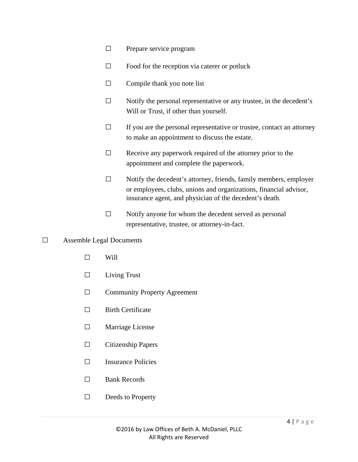- □ Prepare service program
- **□** Food for the reception via caterer or potluck
- **□** Compile thank you note list
- **□** Notify the personal representative or any trustee, in the decedent's Will or Trust, if other than yourself.
- **□** If you are the personal representative or trustee, contact an attorney to make an appointment to discuss the estate.
- **□** Receive any paperwork required of the attorney prior to the appointment and complete the paperwork.
- **□** Notify the decedent's attorney, friends, family members, employer or employees, clubs, unions and organizations, financial advisor, insurance agent, and physician of the decedent's death.
- **□** Notify anyone for whom the decedent served as personal representative, trustee, or attorney-in-fact.

## **□** Assemble Legal Documents

- **□** Will
- **□** Living Trust
- □ Community Property Agreement
- **□** Birth Certificate
- **□** Marriage License
- **□** Citizenship Papers
- **□** Insurance Policies
- **□** Bank Records
- **□** Deeds to Property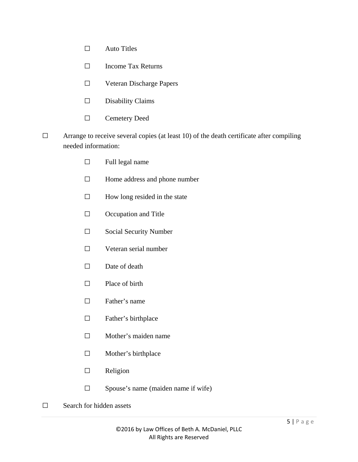- **□** Auto Titles
- **□** Income Tax Returns
- **□** Veteran Discharge Papers
- **□** Disability Claims
- **□** Cemetery Deed
- **□** Arrange to receive several copies (at least 10) of the death certificate after compiling needed information:
	- **□** Full legal name
	- **□** Home address and phone number
	- **□** How long resided in the state
	- **□** Occupation and Title
	- **□** Social Security Number
	- **□** Veteran serial number
	- **□** Date of death
	- **□** Place of birth
	- **□** Father's name
	- **□** Father's birthplace
	- **□** Mother's maiden name
	- **□** Mother's birthplace
	- **□** Religion
	- **□** Spouse's name (maiden name if wife)
- **□** Search for hidden assets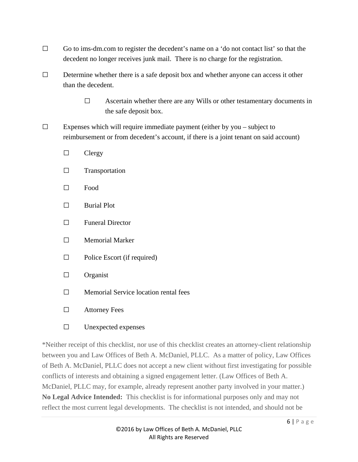- **□** Go to ims-dm.com to register the decedent's name on a 'do not contact list' so that the decedent no longer receives junk mail. There is no charge for the registration.
- **□** Determine whether there is a safe deposit box and whether anyone can access it other than the decedent.
	- **□** Ascertain whether there are any Wills or other testamentary documents in the safe deposit box.
- **□** Expenses which will require immediate payment (either by you subject to reimbursement or from decedent's account, if there is a joint tenant on said account)
	- **□** Clergy
	- **□** Transportation
	- **□** Food
	- **□** Burial Plot
	- **□** Funeral Director
	- **□** Memorial Marker
	- **□** Police Escort (if required)
	- **□** Organist
	- **□** Memorial Service location rental fees
	- **□** Attorney Fees
	- **□** Unexpected expenses

\*Neither receipt of this checklist, nor use of this checklist creates an attorney-client relationship between you and Law Offices of Beth A. McDaniel, PLLC. As a matter of policy, Law Offices of Beth A. McDaniel, PLLC does not accept a new client without first investigating for possible conflicts of interests and obtaining a signed engagement letter. (Law Offices of Beth A. McDaniel, PLLC may, for example, already represent another party involved in your matter.) **No Legal Advice Intended:** This checklist is for informational purposes only and may not reflect the most current legal developments. The checklist is not intended, and should not be